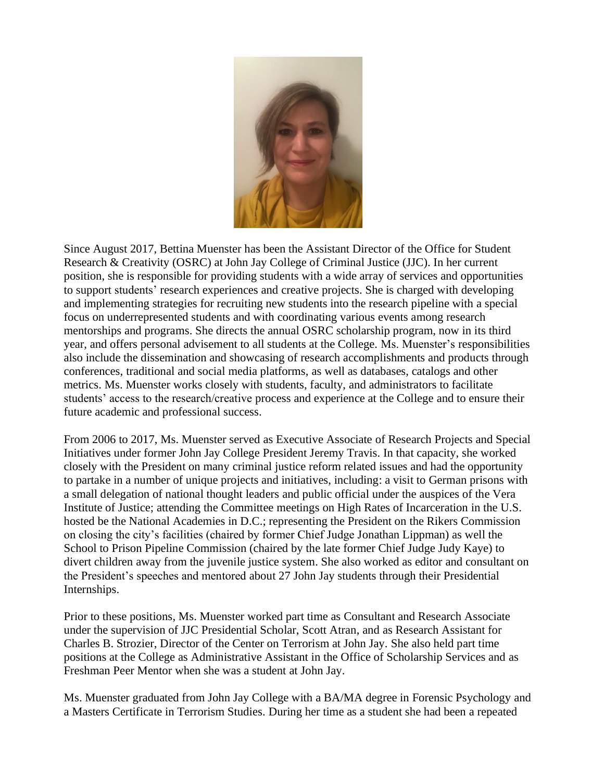

Since August 2017, Bettina Muenster has been the Assistant Director of the Office for Student Research & Creativity (OSRC) at John Jay College of Criminal Justice (JJC). In her current position, she is responsible for providing students with a wide array of services and opportunities to support students' research experiences and creative projects. She is charged with developing and implementing strategies for recruiting new students into the research pipeline with a special focus on underrepresented students and with coordinating various events among research mentorships and programs. She directs the annual OSRC scholarship program, now in its third year, and offers personal advisement to all students at the College. Ms. Muenster's responsibilities also include the dissemination and showcasing of research accomplishments and products through conferences, traditional and social media platforms, as well as databases, catalogs and other metrics. Ms. Muenster works closely with students, faculty, and administrators to facilitate students' access to the research/creative process and experience at the College and to ensure their future academic and professional success.

From 2006 to 2017, Ms. Muenster served as Executive Associate of Research Projects and Special Initiatives under former John Jay College President Jeremy Travis. In that capacity, she worked closely with the President on many criminal justice reform related issues and had the opportunity to partake in a number of unique projects and initiatives, including: a visit to German prisons with a small delegation of national thought leaders and public official under the auspices of the Vera Institute of Justice; attending the Committee meetings on High Rates of Incarceration in the U.S. hosted be the National Academies in D.C.; representing the President on the Rikers Commission on closing the city's facilities (chaired by former Chief Judge Jonathan Lippman) as well the School to Prison Pipeline Commission (chaired by the late former Chief Judge Judy Kaye) to divert children away from the juvenile justice system. She also worked as editor and consultant on the President's speeches and mentored about 27 John Jay students through their Presidential Internships.

Prior to these positions, Ms. Muenster worked part time as Consultant and Research Associate under the supervision of JJC Presidential Scholar, Scott Atran, and as Research Assistant for Charles B. Strozier, Director of the Center on Terrorism at John Jay. She also held part time positions at the College as Administrative Assistant in the Office of Scholarship Services and as Freshman Peer Mentor when she was a student at John Jay.

Ms. Muenster graduated from John Jay College with a BA/MA degree in Forensic Psychology and a Masters Certificate in Terrorism Studies. During her time as a student she had been a repeated